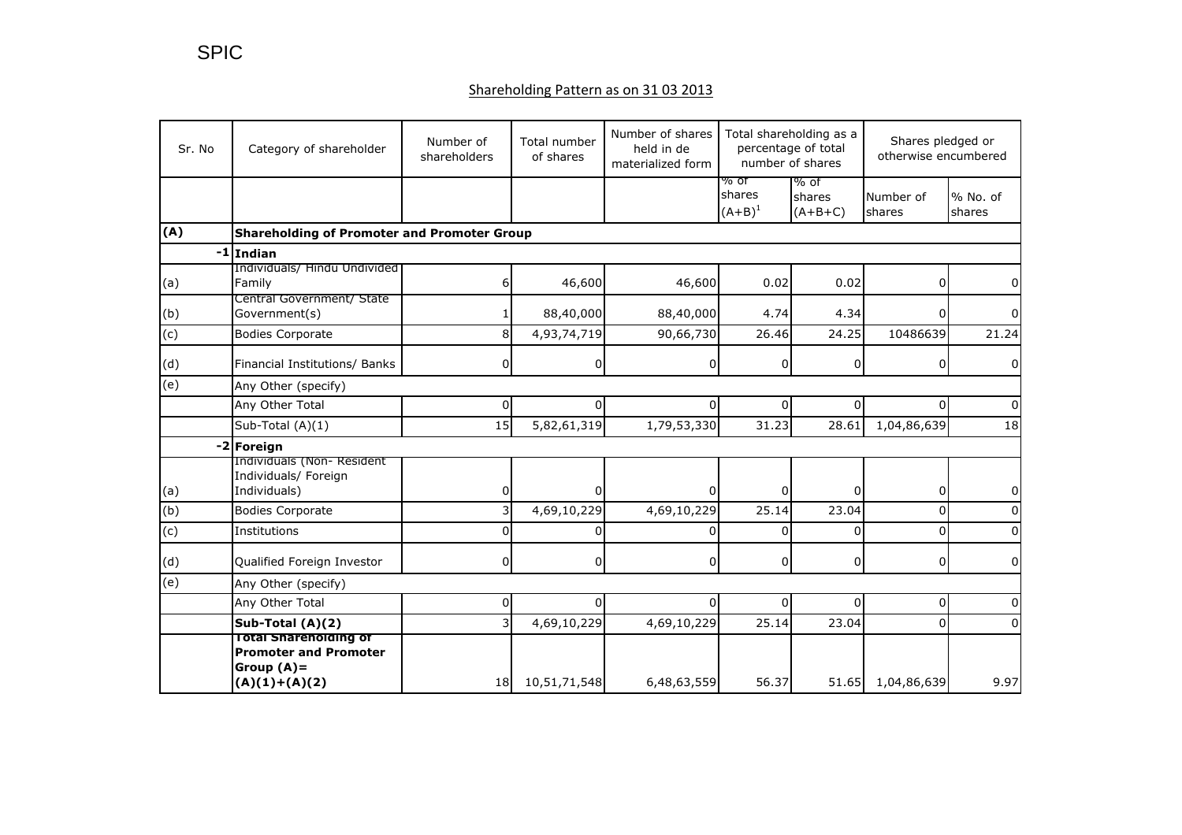## Shareholding Pattern as on 31 03 2013

| Sr. No         | Category of shareholder                                                                          | Number of<br>shareholders | Total number<br>of shares | Number of shares<br>held in de<br>materialized form | Total shareholding as a<br>percentage of total<br>number of shares |                             | Shares pledged or<br>otherwise encumbered |                    |  |
|----------------|--------------------------------------------------------------------------------------------------|---------------------------|---------------------------|-----------------------------------------------------|--------------------------------------------------------------------|-----------------------------|-------------------------------------------|--------------------|--|
|                |                                                                                                  |                           |                           |                                                     | % ot<br>shares<br>$(A+B)^1$                                        | % of<br>shares<br>$(A+B+C)$ | Number of<br>shares                       | % No. of<br>shares |  |
| (A)            | <b>Shareholding of Promoter and Promoter Group</b>                                               |                           |                           |                                                     |                                                                    |                             |                                           |                    |  |
|                | $-1$ Indian                                                                                      |                           |                           |                                                     |                                                                    |                             |                                           |                    |  |
| (a)            | Individuals/ Hindu Undivided<br>Family                                                           | $6 \mid$                  | 46,600                    | 46,600                                              | 0.02                                                               | 0.02                        | 0                                         | 0                  |  |
| (b)            | Central Government/ State<br>Government(s)                                                       | 1                         | 88,40,000                 | 88,40,000                                           | 4.74                                                               | 4.34                        | n                                         | 0                  |  |
| (c)            | <b>Bodies Corporate</b>                                                                          | 8                         | 4,93,74,719               | 90,66,730                                           | 26.46                                                              | 24.25                       | 10486639                                  | 21.24              |  |
| (d)            | Financial Institutions/ Banks                                                                    | 0                         | 0                         | 0                                                   | 0                                                                  | 0                           | 0                                         | 0                  |  |
| (e)            | Any Other (specify)                                                                              |                           |                           |                                                     |                                                                    |                             |                                           |                    |  |
|                | Any Other Total                                                                                  | 0                         | 0                         |                                                     | 0                                                                  | 0                           |                                           | $\Omega$           |  |
|                | Sub-Total (A)(1)                                                                                 | 15                        | 5,82,61,319               | 1,79,53,330                                         | 31.23                                                              | 28.61                       | 1,04,86,639                               | 18                 |  |
|                | -2 Foreign                                                                                       |                           |                           |                                                     |                                                                    |                             |                                           |                    |  |
| (a)            | Individuals (Non-Resident<br>Individuals/ Foreign<br>Individuals)                                | 0                         | 0                         | 0                                                   | 0                                                                  | 0                           | <sup>0</sup>                              | 0                  |  |
| (b)            | <b>Bodies Corporate</b>                                                                          | 3                         | 4,69,10,229               | 4,69,10,229                                         | 25.14                                                              | 23.04                       | $\Omega$                                  |                    |  |
| (c)            | Institutions                                                                                     | 0                         | 0                         | O                                                   | $\Omega$                                                           | 0                           | $\Omega$                                  | 0                  |  |
| (d)            | Qualified Foreign Investor                                                                       | 0                         | 0                         | 0                                                   | 0                                                                  | 0                           | 0                                         | 0                  |  |
| $\overline{e}$ | Any Other (specify)                                                                              |                           |                           |                                                     |                                                                    |                             |                                           |                    |  |
|                | Any Other Total                                                                                  | 0                         | $\Omega$                  | 0                                                   | $\Omega$                                                           | 0                           | $\Omega$                                  | U                  |  |
|                | Sub-Total (A)(2)                                                                                 | 31                        | 4,69,10,229               | 4,69,10,229                                         | 25.14                                                              | 23.04                       | $\Omega$                                  | 0                  |  |
|                | <b>Total Shareholding of</b><br><b>Promoter and Promoter</b><br>Group $(A)$ =<br>$(A)(1)+(A)(2)$ | 18                        | 10,51,71,548              | 6,48,63,559                                         | 56.37                                                              | 51.65                       | 1,04,86,639                               | 9.97               |  |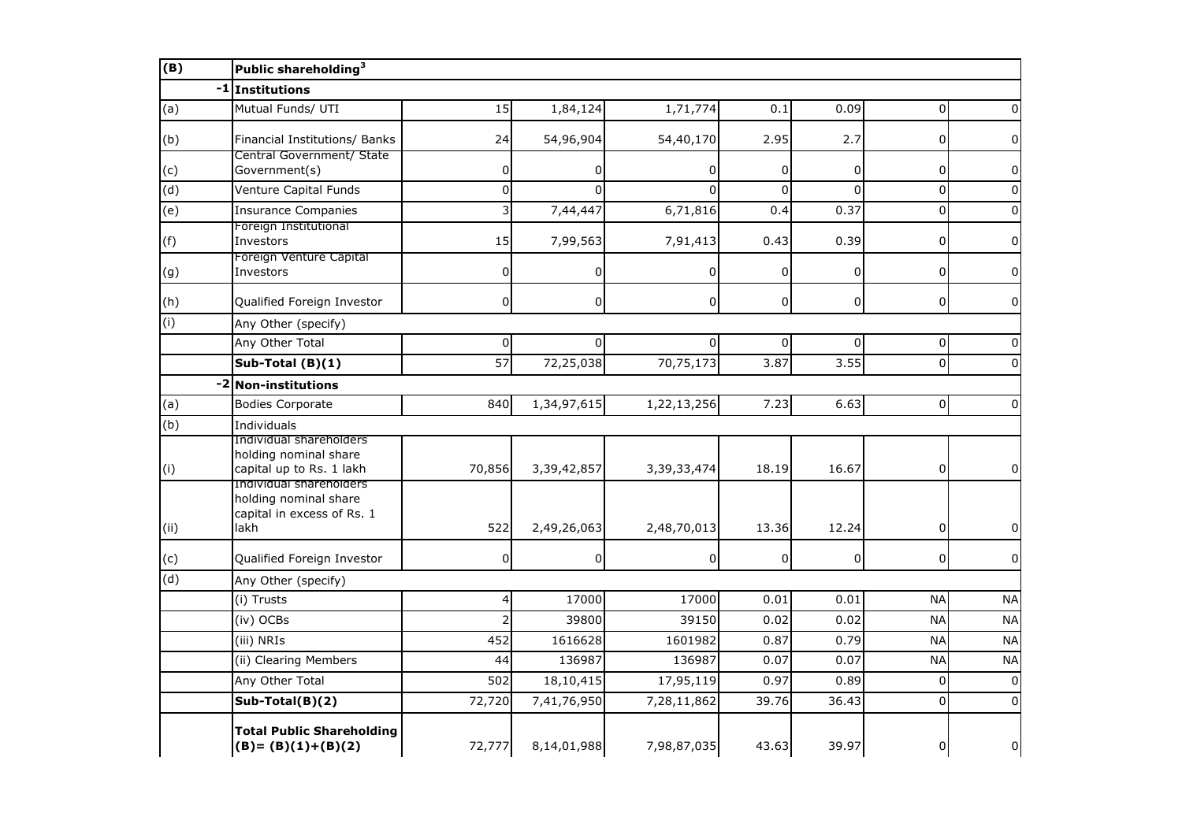| (B)                       | Public shareholding <sup>3</sup>                                                       |                 |                |                |                |             |                |                |  |
|---------------------------|----------------------------------------------------------------------------------------|-----------------|----------------|----------------|----------------|-------------|----------------|----------------|--|
|                           | -1 Institutions                                                                        |                 |                |                |                |             |                |                |  |
| (a)                       | Mutual Funds/ UTI                                                                      | 15              | 1,84,124       | 1,71,774       | 0.1            | 0.09        | $\Omega$       | 0              |  |
| (b)                       | Financial Institutions/ Banks                                                          | 24              | 54,96,904      | 54,40,170      | 2.95           | 2.7         | 0              | $\Omega$       |  |
| (c)                       | Central Government/ State<br>Government(s)                                             | 0               |                |                | 0              | 0           | 0              | 0              |  |
| (d)                       | Venture Capital Funds                                                                  | 0               | $\Omega$       | $\Omega$       | $\overline{0}$ | $\Omega$    | 0              | $\Omega$       |  |
| $\overline{e}$            | <b>Insurance Companies</b>                                                             | 3               | 7,44,447       | 6,71,816       | 0.4            | 0.37        | $\pmb{0}$      | 0              |  |
| (f)                       | Foreign Institutional<br>Investors                                                     | 15              | 7,99,563       | 7,91,413       | 0.43           | 0.39        | $\mathbf 0$    | $\Omega$       |  |
| (g)                       | Foreign Venture Capital<br>Investors                                                   | 0               | $\overline{0}$ | $\Omega$       | 0              | $\mathbf 0$ | 0              | $\Omega$       |  |
| (h)                       | Qualified Foreign Investor                                                             | 0               | $\mathbf 0$    | $\overline{0}$ | 0              | $\mathbf 0$ | 0              | 0              |  |
| (i)                       | Any Other (specify)                                                                    |                 |                |                |                |             |                |                |  |
|                           | Any Other Total                                                                        | 0               | $\overline{0}$ | $\Omega$       | 0              | 0           | $\overline{0}$ | $\Omega$       |  |
|                           | Sub-Total $(B)(1)$                                                                     | $\overline{57}$ | 72,25,038      | 70,75,173      | 3.87           | 3.55        | $\overline{0}$ | $\Omega$       |  |
| $-2$                      | <b>Non-institutions</b>                                                                |                 |                |                |                |             |                |                |  |
| (a)                       | <b>Bodies Corporate</b>                                                                | 840             | 1,34,97,615    | 1,22,13,256    | 7.23           | 6.63        | $\Omega$       | $\Omega$       |  |
| $\overline{(\mathsf{b})}$ | Individuals                                                                            |                 |                |                |                |             |                |                |  |
| (i)                       | Individual shareholders<br>holding nominal share<br>capital up to Rs. 1 lakh           | 70,856          | 3,39,42,857    | 3,39,33,474    | 18.19          | 16.67       | 0              | $\overline{0}$ |  |
| (ii)                      | Individual shareholders<br>holding nominal share<br>capital in excess of Rs. 1<br>lakh | 522             | 2,49,26,063    | 2,48,70,013    | 13.36          | 12.24       | 0              | $\overline{0}$ |  |
| (c)                       | Qualified Foreign Investor                                                             | 0               | $\overline{0}$ | 0              | 0              | 0           | 0              | $\Omega$       |  |
| $\overline{d}$            | Any Other (specify)                                                                    |                 |                |                |                |             |                |                |  |
|                           | (i) Trusts                                                                             | 4               | 17000          | 17000          | 0.01           | 0.01        | <b>NA</b>      | <b>NA</b>      |  |
|                           | (iv) OCBs                                                                              | 2               | 39800          | 39150          | 0.02           | 0.02        | <b>NA</b>      | <b>NA</b>      |  |
|                           | (iii) NRIs                                                                             | 452             | 1616628        | 1601982        | 0.87           | 0.79        | <b>NA</b>      | <b>NA</b>      |  |
|                           | (ii) Clearing Members                                                                  | 44              | 136987         | 136987         | 0.07           | 0.07        | <b>NA</b>      | <b>NA</b>      |  |
|                           | Any Other Total                                                                        | 502             | 18,10,415      | 17,95,119      | 0.97           | 0.89        | $\Omega$       | $\Omega$       |  |
|                           | Sub-Total(B)(2)                                                                        | 72,720          | 7,41,76,950    | 7,28,11,862    | 39.76          | 36.43       | $\Omega$       | $\Omega$       |  |
|                           | <b>Total Public Shareholding</b><br>$(B)=(B)(1)+(B)(2)$                                | 72,777          | 8,14,01,988    | 7,98,87,035    | 43.63          | 39.97       | 0              | 0              |  |